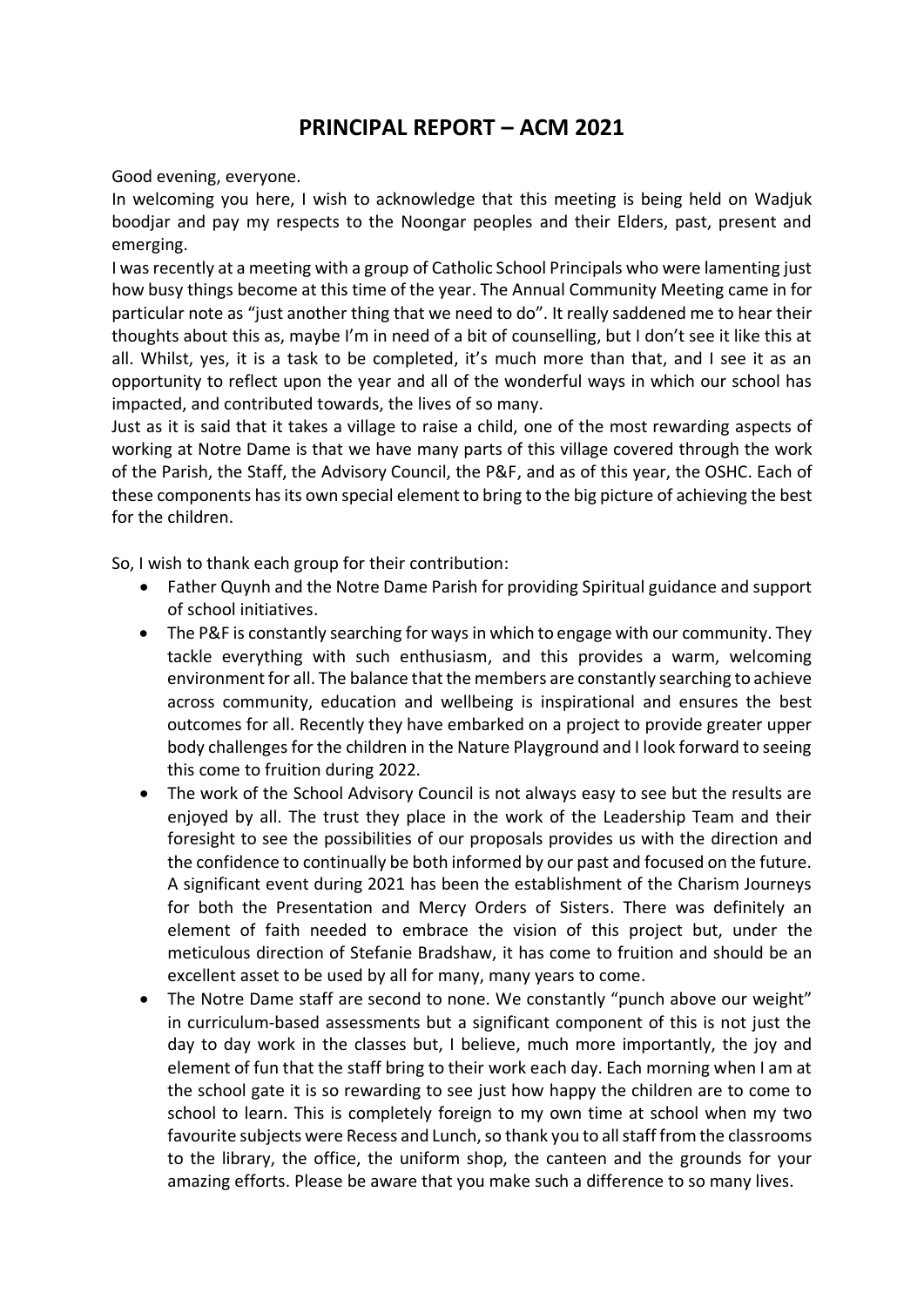## **PRINCIPAL REPORT – ACM 2021**

Good evening, everyone.

In welcoming you here, I wish to acknowledge that this meeting is being held on Wadjuk boodjar and pay my respects to the Noongar peoples and their Elders, past, present and emerging.

I was recently at a meeting with a group of Catholic School Principals who were lamenting just how busy things become at this time of the year. The Annual Community Meeting came in for particular note as "just another thing that we need to do". It really saddened me to hear their thoughts about this as, maybe I'm in need of a bit of counselling, but I don't see it like this at all. Whilst, yes, it is a task to be completed, it's much more than that, and I see it as an opportunity to reflect upon the year and all of the wonderful ways in which our school has impacted, and contributed towards, the lives of so many.

Just as it is said that it takes a village to raise a child, one of the most rewarding aspects of working at Notre Dame is that we have many parts of this village covered through the work of the Parish, the Staff, the Advisory Council, the P&F, and as of this year, the OSHC. Each of these components has its own special element to bring to the big picture of achieving the best for the children.

So, I wish to thank each group for their contribution:

- Father Quynh and the Notre Dame Parish for providing Spiritual guidance and support of school initiatives.
- The P&F is constantly searching for ways in which to engage with our community. They tackle everything with such enthusiasm, and this provides a warm, welcoming environment for all. The balance that the members are constantly searching to achieve across community, education and wellbeing is inspirational and ensures the best outcomes for all. Recently they have embarked on a project to provide greater upper body challenges for the children in the Nature Playground and I look forward to seeing this come to fruition during 2022.
- The work of the School Advisory Council is not always easy to see but the results are enjoyed by all. The trust they place in the work of the Leadership Team and their foresight to see the possibilities of our proposals provides us with the direction and the confidence to continually be both informed by our past and focused on the future. A significant event during 2021 has been the establishment of the Charism Journeys for both the Presentation and Mercy Orders of Sisters. There was definitely an element of faith needed to embrace the vision of this project but, under the meticulous direction of Stefanie Bradshaw, it has come to fruition and should be an excellent asset to be used by all for many, many years to come.
- The Notre Dame staff are second to none. We constantly "punch above our weight" in curriculum-based assessments but a significant component of this is not just the day to day work in the classes but, I believe, much more importantly, the joy and element of fun that the staff bring to their work each day. Each morning when I am at the school gate it is so rewarding to see just how happy the children are to come to school to learn. This is completely foreign to my own time at school when my two favourite subjects were Recess and Lunch, so thank you to all staff from the classrooms to the library, the office, the uniform shop, the canteen and the grounds for your amazing efforts. Please be aware that you make such a difference to so many lives.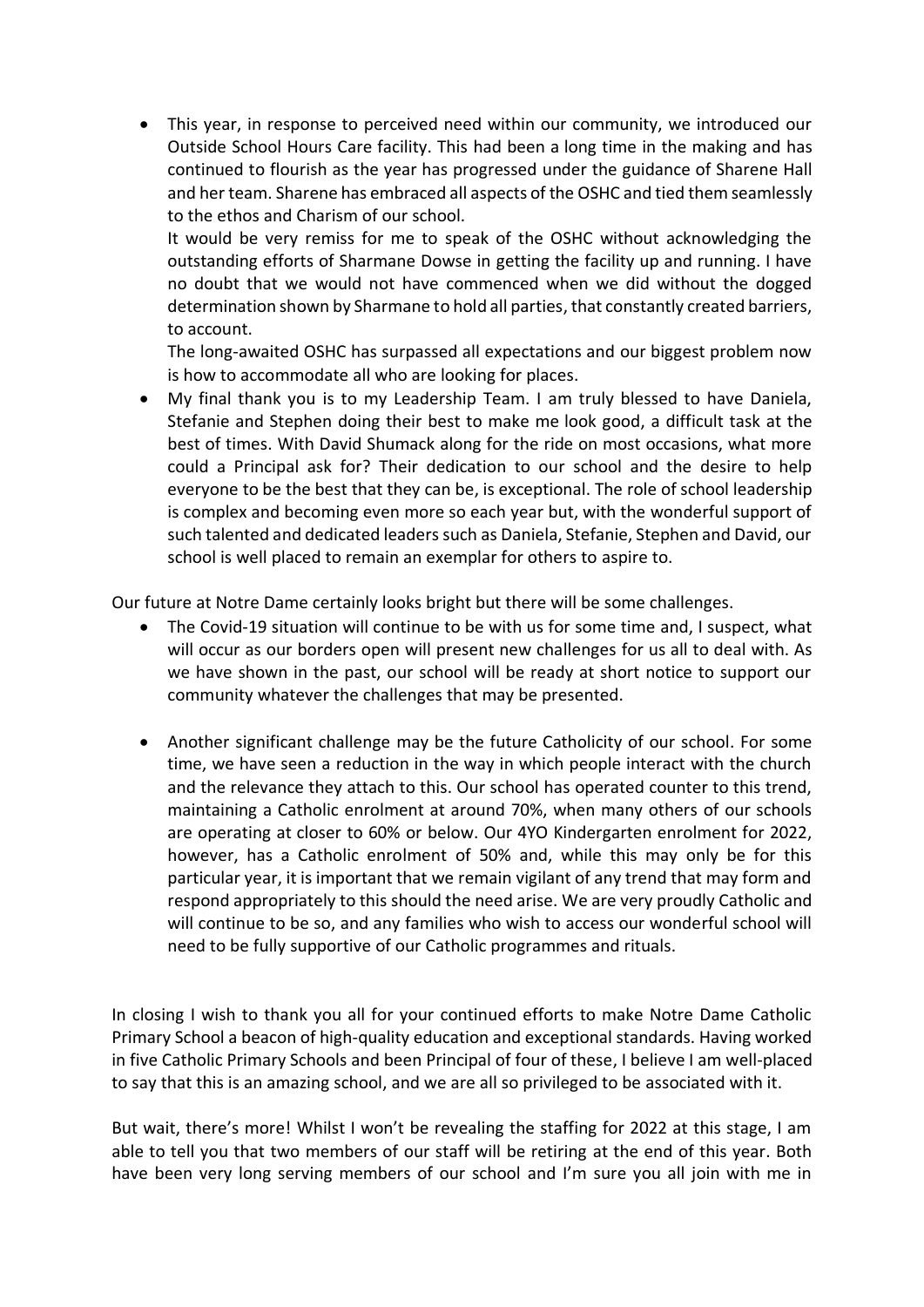• This year, in response to perceived need within our community, we introduced our Outside School Hours Care facility. This had been a long time in the making and has continued to flourish as the year has progressed under the guidance of Sharene Hall and her team. Sharene has embraced all aspects of the OSHC and tied them seamlessly to the ethos and Charism of our school.

It would be very remiss for me to speak of the OSHC without acknowledging the outstanding efforts of Sharmane Dowse in getting the facility up and running. I have no doubt that we would not have commenced when we did without the dogged determination shown by Sharmane to hold all parties, that constantly created barriers, to account.

The long-awaited OSHC has surpassed all expectations and our biggest problem now is how to accommodate all who are looking for places.

• My final thank you is to my Leadership Team. I am truly blessed to have Daniela, Stefanie and Stephen doing their best to make me look good, a difficult task at the best of times. With David Shumack along for the ride on most occasions, what more could a Principal ask for? Their dedication to our school and the desire to help everyone to be the best that they can be, is exceptional. The role of school leadership is complex and becoming even more so each year but, with the wonderful support of such talented and dedicated leaders such as Daniela, Stefanie, Stephen and David, our school is well placed to remain an exemplar for others to aspire to.

Our future at Notre Dame certainly looks bright but there will be some challenges.

- The Covid-19 situation will continue to be with us for some time and, I suspect, what will occur as our borders open will present new challenges for us all to deal with. As we have shown in the past, our school will be ready at short notice to support our community whatever the challenges that may be presented.
- Another significant challenge may be the future Catholicity of our school. For some time, we have seen a reduction in the way in which people interact with the church and the relevance they attach to this. Our school has operated counter to this trend, maintaining a Catholic enrolment at around 70%, when many others of our schools are operating at closer to 60% or below. Our 4YO Kindergarten enrolment for 2022, however, has a Catholic enrolment of 50% and, while this may only be for this particular year, it is important that we remain vigilant of any trend that may form and respond appropriately to this should the need arise. We are very proudly Catholic and will continue to be so, and any families who wish to access our wonderful school will need to be fully supportive of our Catholic programmes and rituals.

In closing I wish to thank you all for your continued efforts to make Notre Dame Catholic Primary School a beacon of high-quality education and exceptional standards. Having worked in five Catholic Primary Schools and been Principal of four of these, I believe I am well-placed to say that this is an amazing school, and we are all so privileged to be associated with it.

But wait, there's more! Whilst I won't be revealing the staffing for 2022 at this stage, I am able to tell you that two members of our staff will be retiring at the end of this year. Both have been very long serving members of our school and I'm sure you all join with me in